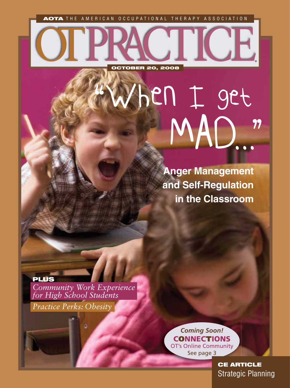AOTA THE AMERICAN OCCUPATIONAL THERAPY ASSOCIATION

OCTOBER 20, 2008

**Anger Management and Self-Regulation in the Classroom**

MAD..."

I ICE

"When I get

PLUS *Community Work Experience for High School Students Practice Perks: Obesity*

> *Coming Soon!* **CONNECTIONS** OT's Online Community See page 3

> > CE ARTICLE Strategic Planning

®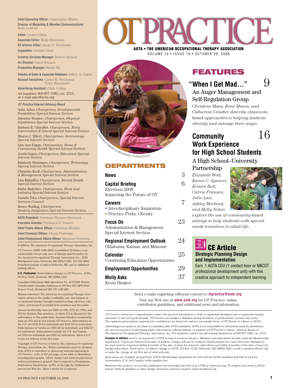**Chief Operating Officer: Christopher Bluhm Director of Marketing & Member Communications:**  Beth Ledford

**Editor:** Laura Collins

**Associate Editor:** Molly Strzelecki **CE Articles Editor:** Sarah D. Hertfelder **Copyeditor:** Jennifer Hart

**Creative Services Manager:** Robert Sacheli **Art Director:** Carol Strauch **Production Manager:** Sarah Ely

**Director of Sales & Corporate Relations:** Jeffrey A. Casper **Account Executives:** Caryn M. Fleishman Tracy Hammond **Advertising Assistant:** Clark Collins

Ad inquiries: 800-877-1383, ext. 2715, or e-mail sales@aota.org

 **OT Practice External Advisory Board** Asha Asher, *Chairperson, Developmental Disabilities Special Interest Section*

Salvador Bondoc, *Chairperson, Physical Disabilities Special Interest Section*

Barbara E. Chandler, *Chairperson, Early Intervention & School Special Interest Section* Sharon J. Elliott, *Chairperson, Gerontology Special Interest Section*

Lisa Ann Fagan, *Chairperson, Home & Community Health Special Interest Section* Jyothi Gupta, *Chairperson, Education Special Interest Section*

Kimberly Hartmann, *Chairperson, Technology Special Interest Section*

Christine Kroll, *Chairperson, Administration & Management Special Interest Section* Lisa Mahaffey, *Chairperson, Mental Health* 

*Special Interest Section* Kathy Maltchev, *Chairperson, Work and Industry Special Interest Section*

Pamela Toto, *Chairperson, Special Interest Sections Council* 

Renee Watling, *Chairperson, Sensory Integration Special Interest Section*

**AOTA President:** Penelope Moyers Cleveland

**Executive Director:** Frederick P. Somers

**Chief Public Affairs Officer: Christina Metzler Chief Financial Officer:** Chuck Partridge

**Chief Professional Affairs Officer: Maureen Peterson** 

© 2008 by The American Occupational Therapy Association, Inc. *OT Practice* (ISSN 1084-4902) is published 22 times a year, semimonthly except only once in January and December by the American Occupational Therapy Association, Inc., 4720 Montgomery Lane, Bethesda, MD 20814-3425; 301-652-2682. Periodical postage is paid at Bethesda, MD, and at additional mailing offices.

**U.S. Postmaster:** Send address changes to *OT Practice,* AOTA, PO Box 31220, Bethesda, MD 20824-1220.

Canadian Publications Mail Agreement No. 41071009. Return Undeliverable Canadian Addresses to PO Box 503, RPO West Beaver Creek, Richmond Hill ON L4B 4R6.

Mission statement: The American Occupational Therapy Association advances the quality, availability, use, and support of occupational therapy through standard-setting, advocacy, education, and research on behalf of its members and the public.

Annual membership dues are \$225 for OTs, \$131 for OTAs, and \$75 for Student-Plus members, of which \$14 is allocated to the subscription to this publication. Standard Student membership dues are \$53 and do not include *OT Practice*. Subscriptions in the U.S. are \$142.50 for individuals and \$216.50 for institutions. Subscriptions in Canada are \$205.25 for individuals and \$262.50 for institutions. Subscriptions outside the U.S. and Canada are \$310 for individuals and \$365 for institutions. Allow 4 to 6 weeks for delivery of the first is

Copyright of *OT Practice* is held by The American Occupational Therapy Association, Inc. Written permission must be obtained from AOTA to reproduce or photocopy material appearing in *OT Practice*. A fee of \$15 per page, or per table or illustration, including photographs, will be charged and must be paid before written permission is granted. Direct requests to Permissions, Publications Department, AOTA, or through the Publications area of our Web site. Allow 2 weeks for a response.



 AOTA • THE AMERICAN OCCUPATIONAL THERAPY ASSOCIATION VOLUME 13 • ISSUE 19 • OCTOBER 20, 2008



# DEPARTMENTS

# **News** 3

# **Capital Briefing** 6

Impacting the Future of OT Elections 2008:

## **Careers** 7

• Interdisciplinary Inspiration

• Practice Perks: Obesity

# **Focus On** 23

Administration & Management Special Interest Section

**Regional Employment Outlook** 24 Oklahoma, Kansas, and Missouri

| Calendar<br>Continuing Education Opportunities | 25 |
|------------------------------------------------|----|
| <b>Employment Opportunities</b>                | 29 |
| <b>Molly Asks</b>                              | 37 |

Kevin Hiniker

# FEATURES

# "When I Get Mad…"  $9$ An Anger Management and Self-Regulation Group

*Christene Maas, René Mason, and Catherine Candler describe classroombased approaches to helping students identify and manage their anger.*

# **Community** 16 **Work Experience for High School Students**

# A High School–University

Partnership

*Elizabeth Wall, Karen C. Spencer, Kristin Beil, Carrie Fransen, Julie Law,* 



*explore the use of community-based settings to help students with special* 

*needs transition to adult life.*

# **CE Article Strategic Planning Design and Implementation**

Earn .1 AOTA CEU (1 contact hour or NBCOT professional development unit) with this creative approach to independent learning.

 Send e-mails regarding editorial content to **otpractice@aota.org.** Visit our Web site at **www.aota.org** for *OT Practice* online,

contributor guidelines, and additional news and information.

*OT Practice* serves as a comprehensive source for practical information to help occupational therapists and occupational therapy assistants to succeed professionally. OT Practice encourages a dialogue among members on professional concerns and vie The opinions and positions expressed by contributors are their own and not necessarily those of OT Practice*'s* editors or AOTA.

Advertising is accepted on the basis of conformity with AOTA standards. AOTA is not responsible for statements made by advertisers, nor does acceptance of advertising imply endorsement, official attitude, or position of OT Practice's editors, Advisory Board, or The American Occupational Therapy Association, Inc. For inquiries, contact the advertising department at 800-877-1383, ext. 2715.

**Changes of address** need to be reported to AOTA at least 6 weeks in advance. Members and subscribers should notify the Membership department. Copies not delivered because of address changes will not be replaced. Replacements for copies that were damaged in the mail must be requested within 2 months of the date of issue for domestic subscribers and within 4 months of the date of issue for foreign subscribers. Send notice of address change to AOTA, PO Box 31220, Bethesda, MD 20824-1220, e-mail to members@aota.org, or make the change at our Web site at www.aota.org.

Back issues are available prepaid from AOTA's Membership department for \$16 each for AOTA members and \$24.75 each for nonmembers (U.S. and Canada) while supplies last.

Members who prefer to access this publication electronically may view it as a PDF at www.aota.org. To request each issue in Word format (without graphics or other design elements), send an e-mail to otpractice@aota.org.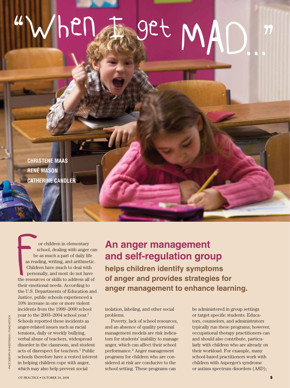# "When F get MAD."

**CHRISTENE MAAS RENÉ MASON CATHERINE CANDLER**

school, dealing with anger can be as much a part of daily life as reading, writing, and arithmetic. Children have much to deal with personally, and most do not have the resources or skills to address all of their emotional needs. According to the U.S. Departments of Education and Justice, public schools experienced a 10% increase in one or more violent incidents from the 1999–2000 school year to the 2003–2004 school year.<sup>1</sup> Schools reported these incidents as anger-related issues such as racial tensions, daily or weekly bullying, verbal abuse of teachers, widespread disorder in the classroom, and student acts of disrespect for teachers.1 Public schools therefore have a vested interest in helping children cope with anger, which may also help prevent social s be as read<br>Childh<br>perso

or children in elementary

# **An anger management and self-regulation group helps children identify symptoms of anger and provides strategies for anger management to enhance learning.**

isolation, labeling, and other social problems.

Poverty, lack of school resources, and an absence of quality personal management models are risk indicators for students' inability to manage anger, which can affect their school performance.2 Anger management programs for children who are considered at risk are conducive to the school setting. These programs can

be administered in group settings or target specific students. Educators, counselors, and administrators typically run these programs; however, occupational therapy practitioners can and should also contribute, particularly with children who are already on their workload. For example, many school-based practitioners work with children with Asperger's syndrome or autism spectrum disorders (ASD);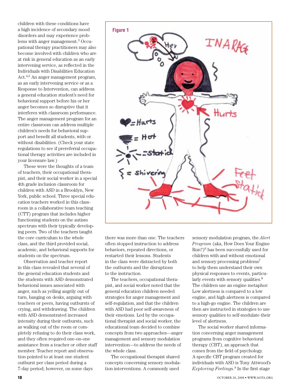children with these conditions have a high incidence of secondary mood disorders and may experience problems with anger management.3 Occupational therapy practitioners may also become involved with children who are at risk in general education as an early intervening service, as reflected in the Individuals with Disabilities Education Act.4,5 An anger management program, as an early intervening service or as a Response to Intervention, can address a general education student's need for behavioral support before his or her anger becomes so disruptive that it interferes with classroom performance. The anger management program for an entire classroom can address multiple children's needs for behavioral support and benefit all students, with or without disabilities. (Check your state regulations to see if prereferral occupational therapy activities are included in your licensure law.)

These were the thoughts of a team of teachers, their occupational therapist, and their social worker in a special 4th grade inclusion classroom for children with ASD in a Brooklyn, New York, public school. Three special education teachers worked in this classroom in a collaborative team teaching (CTT) program that includes higher functioning students on the autism spectrum with their typically developing peers. Two of the teachers taught the core curriculum to the whole class, and the third provided social, academic, and behavioral supports for students on the spectrum.

Observation and teacher report in this class revealed that several of the general education students and the students with ASD demonstrated behavioral issues associated with anger, such as yelling angrily out of turn, banging on desks, arguing with teachers or peers, having outbursts of crying, and withdrawing. The children with ASD demonstrated increased intensity during their outbursts, such as walking out of the room or completely refusing to do their class work, and they often required one-on-one assistance from a teacher or other staff member. Teacher report and observation pointed to at least one student outburst per class period during a 7-day period; however, on some days



there was more than one. The teachers often stopped instruction to address behaviors, repeated directions, or restarted their lessons. Students in the class were distracted by both the outbursts and the disruptions to the instruction.

The teachers, occupational therapist, and social worker noted that the general education children needed strategies for anger management and self-regulation, and that the children with ASD had poor self-awareness of their emotions. Led by the occupational therapist and social worker, the educational team decided to combine concepts from two approaches—anger management and sensory modulation intervention—to address the needs of the whole class.

The occupational therapist shared concepts concerning sensory modulation interventions. A commonly used

sensory modulation program, the *Alert Program* (aka, How Does Your Engine  $Run?)<sup>6</sup>$  has been successfully used for children with and without emotional and sensory processing problems7 to help them understand their own physical responses to events, particularly events with sensory qualities.<sup>8</sup> The children use an engine metaphor: Low alertness is compared to a low engine, and high alertness is compared to a high-go engine. The children are then are instructed in strategies to use sensory qualities to self-modulate their level of alertness.

The social worker shared information concerning anger management programs from cognitive behavioral therapy (CBT), an approach that comes from the field of psychology. A specific CBT program created for individuals with ASD is Tony Attwood's *Exploring Feelings*.<sup>9</sup> In the first stage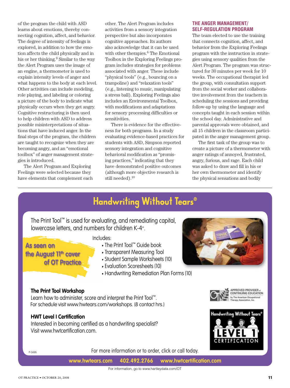of the program the child with ASD learns about emotions, thereby connecting cognition, affect, and behavior. The degree of intensity of feelings is explored, in addition to how the emotion affects the child physically and in his or her thinking.9 Similar to the way the Alert Program uses the image of an engine, a thermometer is used to explain intensity levels of anger and what happens to the body at each level. Other activities can include modeling, role playing, and labeling or coloring a picture of the body to indicate what physically occurs when they get angry. Cognitive restructuring is then used to help children with ASD to address possible misinterpretations of situations that have induced anger. In the final steps of the program, the children are taught to recognize when they are becoming angry, and an "emotional toolbox" of anger management strategies is introduced.

The Alert Program and Exploring Feelings were selected because they have elements that complement each

other. The Alert Program includes activities from a sensory integration perspective but also incorporates cognitive approaches. Its authors also acknowledge that it can be used with other therapies.<sup>6</sup> The Emotional Toolbox in the Exploring Feelings program includes strategies for problems associated with anger. These include "physical tools" (e.g., bouncing on a trampoline) and "relaxation tools" (e.g., listening to music, manipulating a stress ball). Exploring Feelings also includes an Environmental Toolbox, with modifications and adaptations for sensory processing difficulties or sensitivities.

There is evidence for the effectiveness for both programs. In a study evaluating evidence-based practices for students with ASD, Simpson reported sensory integration and cognitive behavioral modification as "promising practices," indicating that they have demonstrated positive outcomes (although more objective research is still needed).10

## **THE ANGER MANAGEMENT/ SELF-REGULATION PROGRAM**

The team elected to use the training that connects cognition, affect, and behavior from the Exploring Feelings program with the instruction in strategies using sensory qualities from the Alert Program. The program was structured for 30 minutes per week for 10 weeks. The occupational therapist led the group, with consultation support from the social worker and collaborative involvement from the teachers in scheduling the sessions and providing follow-up by using the language and concepts taught in each session within the school day. Administrative and parental approvals were obtained, and all 15 children in the classroom participated in the anger management group.

The first task of the group was to create a picture of a thermometer with anger ratings of annoyed, frustrated, angry, furious, and rage. Each child was asked to draw and fill in his or her own thermometer and identify the physical sensations and bodily

# **Handwriting Without Tears®**

The Print Tool™ is used for evaluating, and remediating capital, lowercase letters, and numbers for children K-4+.

Includes:

- The Print Tool™ Guide book • Transparent Measuring Tool
- s Student Sample Worksheets (10)
- Evaluation Scoresheets (10)
- Handwriting Remediation Plan Forms (10)

# **The Print Tool Workshop**

**of OT Practice**

the August 11<sup>th</sup> cover

**As seen on** 

Learn how to administer, score and interpret the Print Tool™. For schedule visit www.hwtears.com/workshops. (8 contact hrs.)

# **HWT Level I Certification**

Interested in becoming certified as a handwriting specialist? Visit www.hwtcertification.com.



APPROVED PROVIDER. CONTINUING EDUCATION

P-3495

For more information or to order, click or call today.

**www.hwtears.com 402.492.2766 www.hwtcertification.com**

For information, go to www.hartleydata.com/OT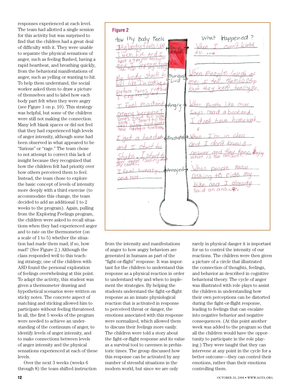responses experienced at each level. The team had allotted a single session for this activity but was surprised to find that the children had a great deal of difficulty with it. They were unable to separate the physical sensations of anger, such as feeling flushed, having a rapid heartbeat, and breathing quickly, from the behavioral manifestations of anger, such as yelling or wanting to hit. To help them understand, the social worker asked them to draw a picture of themselves and to label how each body part felt when they were angry (see Figure 1 on p. 10). This strategy was helpful, but some of the children were still not making the connection. Many left blank spaces or did not feel that they had experienced high levels of anger intensity, although some had been observed in what appeared to be "furious" or "rage." The team chose to not attempt to correct this lack of insight because they recognized that how the children felt had priority over how others perceived them to feel. Instead, the team chose to explore the basic concept of levels of intensity more deeply with a third exercise (to accommodate this change, the team decided to add an additional 1 to 2 weeks to the program). Again, pulling from the Exploring Feelings program, the children were asked to recall situations when they had experienced anger and to rate on the thermometer (on a scale of 1 to 5) whether the situation had made them mad; if so, how mad? (See Figure 2.) Although the class responded well to this teaching strategy, one of the children with ASD found the personal exploration of feelings overwhelming at this point. To adapt the activity, this student was given a thermometer drawing and hypothetical scenarios were written on sticky notes. The concrete aspect of matching and sticking allowed him to participate without feeling threatened. In all, the first 5 weeks of the program were needed to achieve an understanding of the continuum of anger, to identify levels of anger intensity, and to make connections between levels of anger intensity and the physical sensations experienced at each of these levels.

Over the next 3 weeks (weeks 6 through 8) the team shifted instruction

**Figure 2**Happened? How I'my Body Feels  $246$  $+ v$  $tan + sinw$ **Vati** Furious Livid rectan *uface turns* Angry **Tomtrum** aremper Frustrated ok What 1 S Annoyed- $QDQ$ Said an answer.

from the intensity and manifestations of anger to how angry behaviors are generated in humans as part of the "fight-or-flight" response. It was important for the children to understand this response as a physical reaction in order to understand why and when to implement the strategies. By helping the students understand the fight-or-flight response as an innate physiological reaction that is activated in response to perceived threat or danger, the emotions associated with this response were normalized, which allowed them to discuss their feelings more easily. The children were told a story about the fight-or-flight response and its value as a survival tool to cavemen in prehistoric times. The group discussed how this response can be activated by any number of stressful situations in the modern world, but since we are only

rarely in physical danger it is important for us to control the intensity of our reactions. The children were then given a picture of a circle that illustrated the connection of thoughts, feelings, and behavior as described in cognitive behavioral theory. The cycle of anger was illustrated with role plays to assist the children in understanding how their own perceptions can be distorted during the fight-or-flight response, leading to feelings that can escalate into negative behavior and negative consequences. (At this point another week was added to the program so that all the children would have the opportunity to participate in the role playing.) They were taught that they can intervene at any point in the cycle for a better outcome—they can control their emotions, rather than their emotions controlling them.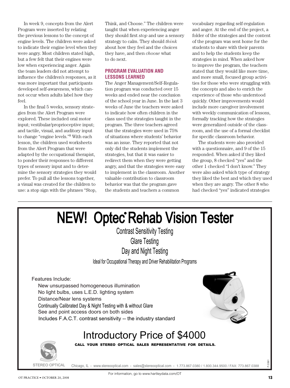In week 9, concepts from the Alert Program were inserted by relating the previous lessons to the concept of engine levels. The children were asked to indicate their engine level when they were angry. Most children stated high, but a few felt that their engines were low when experiencing anger. Again the team leaders did not attempt to influence the children's responses, as it was more important that participants developed self-awareness, which cannot occur when adults label how they feel.

In the final 5 weeks, sensory strategies from the Alert Program were explored. These included oral motor input; vestibular/proprioceptive input; and tactile, visual, and auditory input to change "engine levels."8 With each lesson, the children used worksheets from the Alert Program that were adapted by the occupational therapist, to ponder their responses to different types of sensory input and to determine the sensory strategies they would prefer. To pull all the lessons together, a visual was created for the children to use: a stop sign with the phrases "Stop,

Think, and Choose." The children were taught that when experiencing anger they should first *stop* and use a sensory strategy to calm. They should *think* about how they feel and the choices they have, and then *choose* what to do next.

## **PROGRAM EVALUATION AND LESSONS LEARNED**

The Anger Management/Self-Regulation program was conducted over 15 weeks and ended near the conclusion of the school year in June. In the last 3 weeks of June the teachers were asked to indicate how often children in the class used the strategies taught in the program. The three teachers agreed that the strategies were used in 75% of situations where students' behavior was an issue. They reported that not only did the students implement the strategies, but that it was easier to redirect them when they were getting angry, and that the strategies were easy to implement in the classroom. Another valuable contribution to classroom behavior was that the program gave the students and teachers a common

vocabulary regarding self-regulation and anger. At the end of the project, a folder of the strategies and the content of the program was sent home for the students to share with their parents and to help the students keep the strategies in mind. When asked how to improve the program, the teachers stated that they would like more time, and more small, focused group activities for those who were struggling with the concepts and also to enrich the experience of those who understood quickly. Other improvements would include more caregiver involvement with weekly communication of lessons, formally tracking how the strategies were generalized outside of the classroom, and the use of a formal checklist for specific classroom behavior.

The students were also provided with a questionnaire, and 9 of the 15 responded. When asked if they liked the group, 8 checked "yes" and the other 1 checked "I don't know." They were also asked which type of strategy they liked the best and which they used when they are angry. The other 8 who had checked "yes" indicated strategies